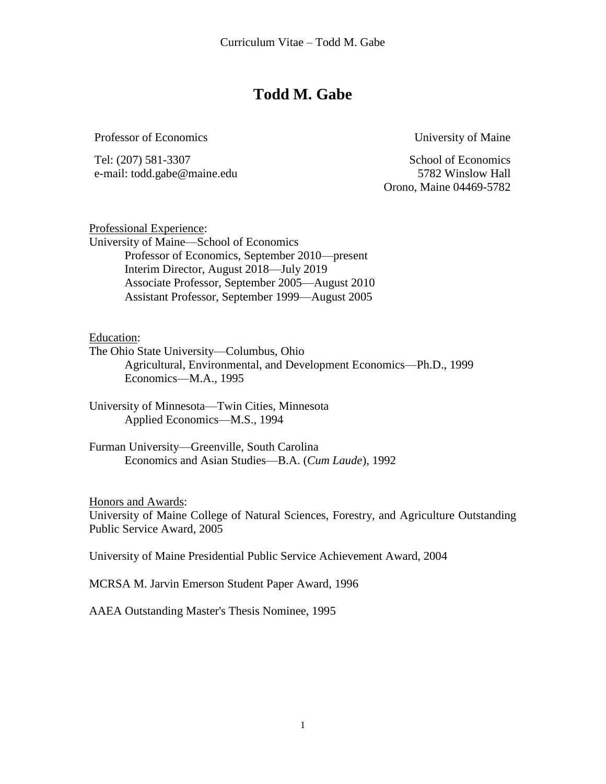## **Todd M. Gabe**

Professor of Economics University of Maine

Tel: (207) 581-3307 School of Economics e-mail: todd.gabe@maine.edu 5782 Winslow Hall

Orono, Maine 04469-5782

Professional Experience: University of Maine—School of Economics Professor of Economics, September 2010—present Interim Director, August 2018—July 2019 Associate Professor, September 2005—August 2010 Assistant Professor, September 1999—August 2005

Education:

The Ohio State University—Columbus, Ohio Agricultural, Environmental, and Development Economics—Ph.D., 1999 Economics—M.A., 1995

University of Minnesota—Twin Cities, Minnesota Applied Economics—M.S., 1994

Furman University—Greenville, South Carolina Economics and Asian Studies—B.A. (*Cum Laude*), 1992

Honors and Awards:

University of Maine College of Natural Sciences, Forestry, and Agriculture Outstanding Public Service Award, 2005

University of Maine Presidential Public Service Achievement Award, 2004

MCRSA M. Jarvin Emerson Student Paper Award, 1996

AAEA Outstanding Master's Thesis Nominee, 1995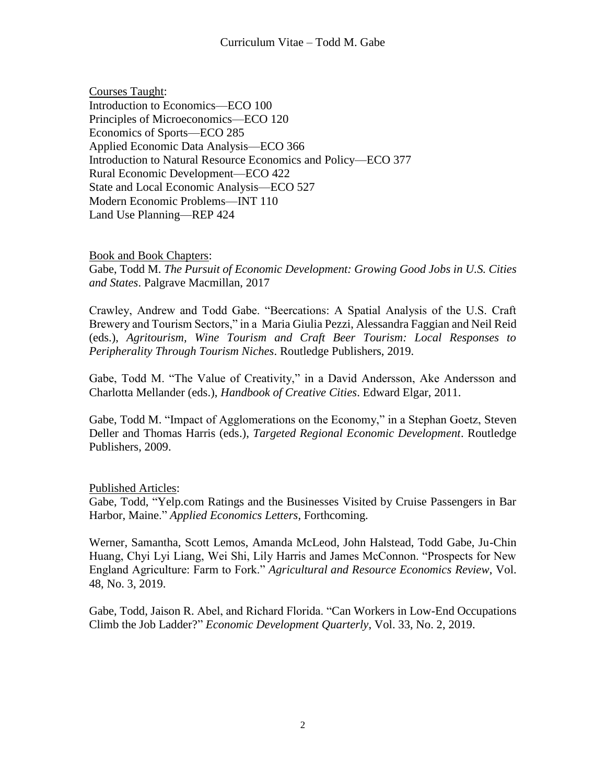Courses Taught: Introduction to Economics—ECO 100 Principles of Microeconomics—ECO 120 Economics of Sports—ECO 285 Applied Economic Data Analysis—ECO 366 Introduction to Natural Resource Economics and Policy—ECO 377 Rural Economic Development—ECO 422 State and Local Economic Analysis—ECO 527 Modern Economic Problems—INT 110 Land Use Planning—REP 424

Book and Book Chapters: Gabe, Todd M. *The Pursuit of Economic Development: Growing Good Jobs in U.S. Cities and States*. Palgrave Macmillan, 2017

Crawley, Andrew and Todd Gabe. "Beercations: A Spatial Analysis of the U.S. Craft Brewery and Tourism Sectors," in a [Maria Giulia Pezzi,](https://www.routledge.com/products/search?author=Maria%20Giulia%20Pezzi) [Alessandra Faggian](https://www.routledge.com/products/search?author=Alessandra%20Faggian) and [Neil Reid](https://www.routledge.com/products/search?author=Neil%20Reid) (eds.), *Agritourism, Wine Tourism and Craft Beer Tourism: Local Responses to Peripherality Through Tourism Niches*. Routledge Publishers, 2019.

Gabe, Todd M. "The Value of Creativity," in a David Andersson, Ake Andersson and Charlotta Mellander (eds.), *Handbook of Creative Cities*. Edward Elgar, 2011.

Gabe, Todd M. "Impact of Agglomerations on the Economy," in a Stephan Goetz, Steven Deller and Thomas Harris (eds.), *Targeted Regional Economic Development*. Routledge Publishers, 2009.

## Published Articles:

Gabe, Todd, "Yelp.com Ratings and the Businesses Visited by Cruise Passengers in Bar Harbor, Maine." *Applied Economics Letters*, Forthcoming.

Werner, Samantha, Scott Lemos, Amanda McLeod, John Halstead, Todd Gabe, Ju-Chin Huang, Chyi Lyi Liang, Wei Shi, Lily Harris and James McConnon. "Prospects for New England Agriculture: Farm to Fork." *Agricultural and Resource Economics Review*, Vol. 48, No. 3, 2019.

Gabe, Todd, Jaison R. Abel, and Richard Florida. "Can Workers in Low-End Occupations Climb the Job Ladder?" *Economic Development Quarterly*, Vol. 33, No. 2, 2019.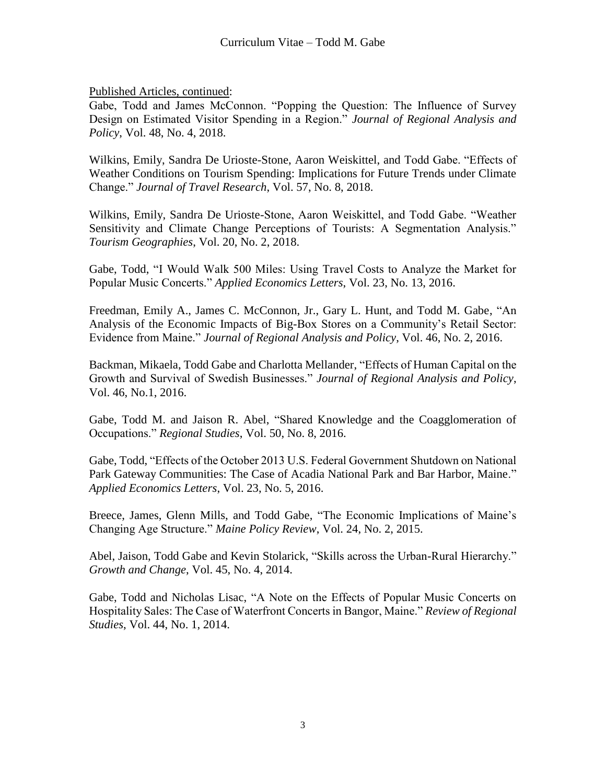Gabe, Todd and James McConnon. "Popping the Question: The Influence of Survey Design on Estimated Visitor Spending in a Region." *Journal of Regional Analysis and Policy*, Vol. 48, No. 4, 2018.

Wilkins, Emily, Sandra De Urioste-Stone, Aaron Weiskittel, and Todd Gabe. "Effects of Weather Conditions on Tourism Spending: Implications for Future Trends under Climate Change." *Journal of Travel Research*, Vol. 57, No. 8, 2018.

Wilkins, Emily, Sandra De Urioste-Stone, Aaron Weiskittel, and Todd Gabe. "Weather Sensitivity and Climate Change Perceptions of Tourists: A Segmentation Analysis." *Tourism Geographies*, Vol. 20, No. 2, 2018.

Gabe, Todd, "I Would Walk 500 Miles: Using Travel Costs to Analyze the Market for Popular Music Concerts." *Applied Economics Letters*, Vol. 23, No. 13, 2016.

Freedman, Emily A., James C. McConnon, Jr., Gary L. Hunt, and Todd M. Gabe, "An Analysis of the Economic Impacts of Big-Box Stores on a Community's Retail Sector: Evidence from Maine." *Journal of Regional Analysis and Policy*, Vol. 46, No. 2, 2016.

Backman, Mikaela, Todd Gabe and Charlotta Mellander, "Effects of Human Capital on the Growth and Survival of Swedish Businesses." *Journal of Regional Analysis and Policy*, Vol. 46, No.1, 2016.

Gabe, Todd M. and Jaison R. Abel, "Shared Knowledge and the Coagglomeration of Occupations." *Regional Studies*, Vol. 50, No. 8, 2016.

Gabe, Todd, "Effects of the October 2013 U.S. Federal Government Shutdown on National Park Gateway Communities: The Case of Acadia National Park and Bar Harbor, Maine." *Applied Economics Letters*, Vol. 23, No. 5, 2016.

Breece, James, Glenn Mills, and Todd Gabe, "The Economic Implications of Maine's Changing Age Structure." *Maine Policy Review*, Vol. 24, No. 2, 2015.

Abel, Jaison, Todd Gabe and Kevin Stolarick, "Skills across the Urban-Rural Hierarchy." *Growth and Change*, Vol. 45, No. 4, 2014.

Gabe, Todd and Nicholas Lisac, "A Note on the Effects of Popular Music Concerts on Hospitality Sales: The Case of Waterfront Concerts in Bangor, Maine." *Review of Regional Studies*, Vol. 44, No. 1, 2014.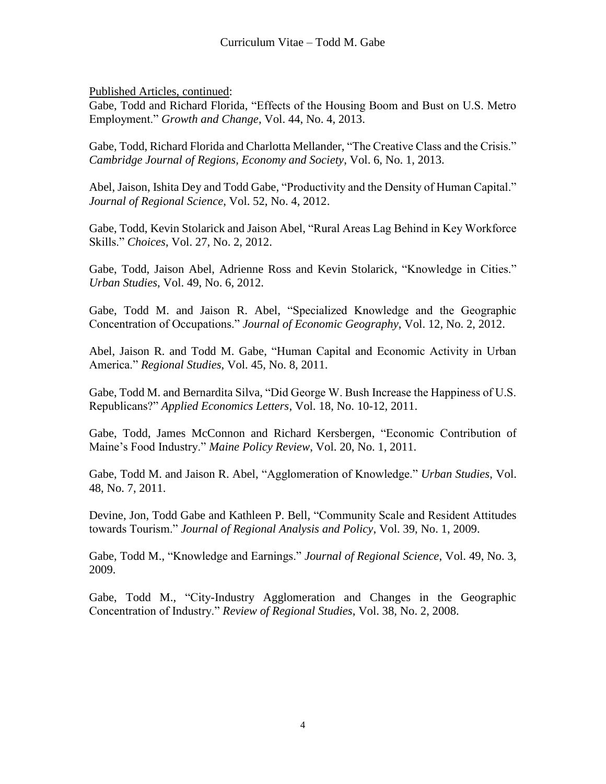Gabe, Todd and Richard Florida, "Effects of the Housing Boom and Bust on U.S. Metro Employment." *Growth and Change*, Vol. 44, No. 4, 2013.

Gabe, Todd, Richard Florida and Charlotta Mellander, "The Creative Class and the Crisis." *Cambridge Journal of Regions, Economy and Society*, Vol. 6, No. 1, 2013.

Abel, Jaison, Ishita Dey and Todd Gabe, "Productivity and the Density of Human Capital." *Journal of Regional Science*, Vol. 52, No. 4, 2012.

Gabe, Todd, Kevin Stolarick and Jaison Abel, "Rural Areas Lag Behind in Key Workforce Skills." *Choices*, Vol. 27, No. 2, 2012.

Gabe, Todd, Jaison Abel, Adrienne Ross and Kevin Stolarick, "Knowledge in Cities." *Urban Studies*, Vol. 49, No. 6, 2012.

Gabe, Todd M. and Jaison R. Abel, "Specialized Knowledge and the Geographic Concentration of Occupations." *Journal of Economic Geography*, Vol. 12, No. 2, 2012.

Abel, Jaison R. and Todd M. Gabe, "Human Capital and Economic Activity in Urban America." *Regional Studies*, Vol. 45, No. 8, 2011.

Gabe, Todd M. and Bernardita Silva, "Did George W. Bush Increase the Happiness of U.S. Republicans?" *Applied Economics Letters*, Vol. 18, No. 10-12, 2011.

Gabe, Todd, James McConnon and Richard Kersbergen, "Economic Contribution of Maine's Food Industry." *Maine Policy Review*, Vol. 20, No. 1, 2011.

Gabe, Todd M. and Jaison R. Abel, "Agglomeration of Knowledge." *Urban Studies*, Vol. 48, No. 7, 2011.

Devine, Jon, Todd Gabe and Kathleen P. Bell, "Community Scale and Resident Attitudes towards Tourism." *Journal of Regional Analysis and Policy*, Vol. 39, No. 1, 2009.

Gabe, Todd M., "Knowledge and Earnings." *Journal of Regional Science*, Vol. 49, No. 3, 2009.

Gabe, Todd M., "City-Industry Agglomeration and Changes in the Geographic Concentration of Industry." *Review of Regional Studies*, Vol. 38, No. 2, 2008.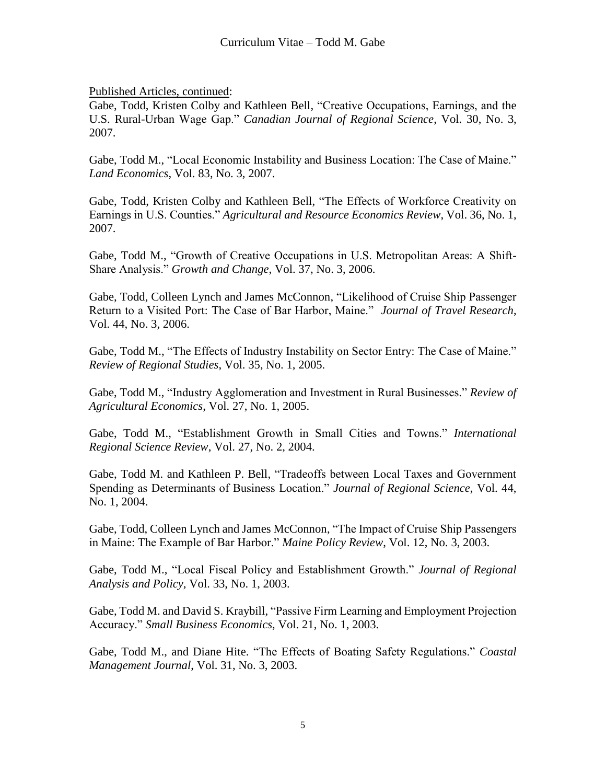Gabe, Todd, Kristen Colby and Kathleen Bell, "Creative Occupations, Earnings, and the U.S. Rural-Urban Wage Gap." *Canadian Journal of Regional Science*, Vol. 30, No. 3, 2007.

Gabe, Todd M., "Local Economic Instability and Business Location: The Case of Maine." *Land Economics*, Vol. 83, No. 3, 2007.

Gabe, Todd, Kristen Colby and Kathleen Bell, "The Effects of Workforce Creativity on Earnings in U.S. Counties." *Agricultural and Resource Economics Review*, Vol. 36, No. 1, 2007.

Gabe, Todd M., "Growth of Creative Occupations in U.S. Metropolitan Areas: A Shift-Share Analysis." *Growth and Change*, Vol. 37, No. 3, 2006.

Gabe, Todd, Colleen Lynch and James McConnon, "Likelihood of Cruise Ship Passenger Return to a Visited Port: The Case of Bar Harbor, Maine." *Journal of Travel Research*, Vol. 44, No. 3, 2006.

Gabe, Todd M., "The Effects of Industry Instability on Sector Entry: The Case of Maine." *Review of Regional Studies*, Vol. 35, No. 1, 2005.

Gabe, Todd M., "Industry Agglomeration and Investment in Rural Businesses." *Review of Agricultural Economics*, Vol. 27, No. 1, 2005.

Gabe, Todd M., "Establishment Growth in Small Cities and Towns." *International Regional Science Review*, Vol. 27, No. 2, 2004.

Gabe, Todd M. and Kathleen P. Bell, "Tradeoffs between Local Taxes and Government Spending as Determinants of Business Location." *Journal of Regional Science*, Vol. 44, No. 1, 2004.

Gabe, Todd, Colleen Lynch and James McConnon, "The Impact of Cruise Ship Passengers in Maine: The Example of Bar Harbor." *Maine Policy Review*, Vol. 12, No. 3, 2003.

Gabe, Todd M., "Local Fiscal Policy and Establishment Growth." *Journal of Regional Analysis and Policy*, Vol. 33, No. 1, 2003.

Gabe, Todd M. and David S. Kraybill, "Passive Firm Learning and Employment Projection Accuracy." *Small Business Economics*, Vol. 21, No. 1, 2003.

Gabe, Todd M., and Diane Hite. "The Effects of Boating Safety Regulations." *Coastal Management Journal*, Vol. 31, No. 3, 2003.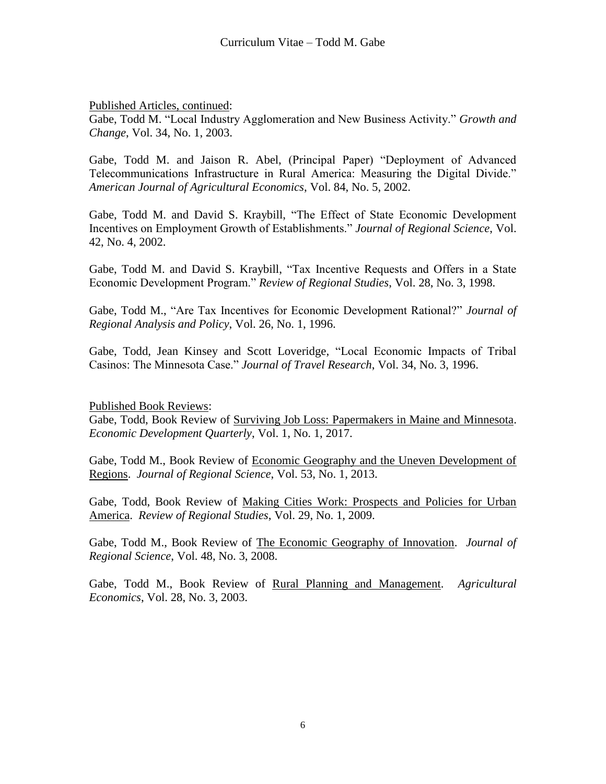Gabe, Todd M. "Local Industry Agglomeration and New Business Activity." *Growth and Change*, Vol. 34, No. 1, 2003.

Gabe, Todd M. and Jaison R. Abel, (Principal Paper) "Deployment of Advanced Telecommunications Infrastructure in Rural America: Measuring the Digital Divide." *American Journal of Agricultural Economics*, Vol. 84, No. 5, 2002.

Gabe, Todd M. and David S. Kraybill, "The Effect of State Economic Development Incentives on Employment Growth of Establishments." *Journal of Regional Science*, Vol. 42, No. 4, 2002.

Gabe, Todd M. and David S. Kraybill, "Tax Incentive Requests and Offers in a State Economic Development Program." *Review of Regional Studies*, Vol. 28, No. 3, 1998.

Gabe, Todd M., "Are Tax Incentives for Economic Development Rational?" *Journal of Regional Analysis and Policy*, Vol. 26, No. 1, 1996.

Gabe, Todd, Jean Kinsey and Scott Loveridge, "Local Economic Impacts of Tribal Casinos: The Minnesota Case." *Journal of Travel Research*, Vol. 34, No. 3, 1996.

Published Book Reviews:

Gabe, Todd, Book Review of Surviving Job Loss: Papermakers in Maine and Minnesota. *Economic Development Quarterly*, Vol. 1, No. 1, 2017.

Gabe, Todd M., Book Review of Economic Geography and the Uneven Development of Regions. *Journal of Regional Science*, Vol. 53, No. 1, 2013.

Gabe, Todd, Book Review of Making Cities Work: Prospects and Policies for Urban America. *Review of Regional Studies*, Vol. 29, No. 1, 2009.

Gabe, Todd M., Book Review of The Economic Geography of Innovation. *Journal of Regional Science*, Vol. 48, No. 3, 2008.

Gabe, Todd M., Book Review of Rural Planning and Management. *Agricultural Economics*, Vol. 28, No. 3, 2003.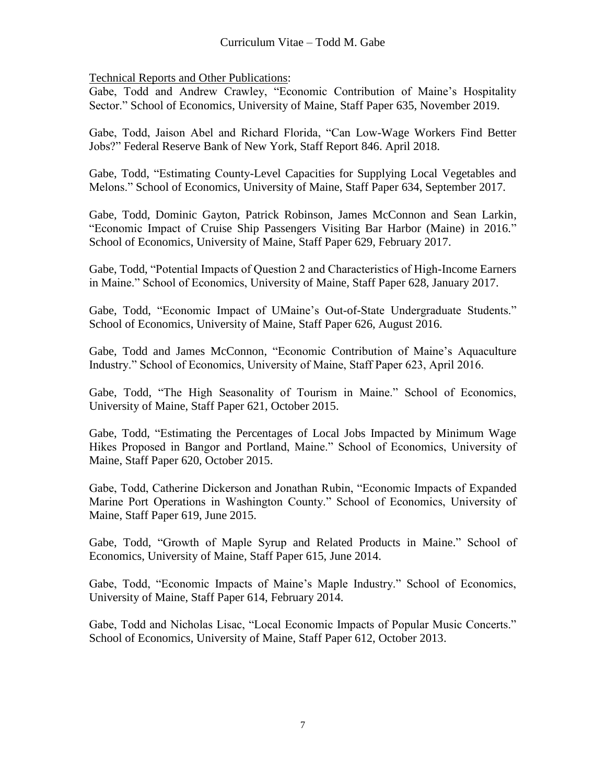Technical Reports and Other Publications:

Gabe, Todd and Andrew Crawley, "Economic Contribution of Maine's Hospitality Sector." School of Economics, University of Maine, Staff Paper 635, November 2019.

Gabe, Todd, Jaison Abel and Richard Florida, "Can Low-Wage Workers Find Better Jobs?" Federal Reserve Bank of New York, Staff Report 846. April 2018.

Gabe, Todd, "Estimating County-Level Capacities for Supplying Local Vegetables and Melons." School of Economics, University of Maine, Staff Paper 634, September 2017.

Gabe, Todd, Dominic Gayton, Patrick Robinson, James McConnon and Sean Larkin, "Economic Impact of Cruise Ship Passengers Visiting Bar Harbor (Maine) in 2016." School of Economics, University of Maine, Staff Paper 629, February 2017.

Gabe, Todd, "Potential Impacts of Question 2 and Characteristics of High-Income Earners in Maine." School of Economics, University of Maine, Staff Paper 628, January 2017.

Gabe, Todd, "Economic Impact of UMaine's Out-of-State Undergraduate Students." School of Economics, University of Maine, Staff Paper 626, August 2016.

Gabe, Todd and James McConnon, "Economic Contribution of Maine's Aquaculture Industry." School of Economics, University of Maine, Staff Paper 623, April 2016.

Gabe, Todd, "The High Seasonality of Tourism in Maine." School of Economics, University of Maine, Staff Paper 621, October 2015.

Gabe, Todd, "Estimating the Percentages of Local Jobs Impacted by Minimum Wage Hikes Proposed in Bangor and Portland, Maine." School of Economics, University of Maine, Staff Paper 620, October 2015.

Gabe, Todd, Catherine Dickerson and Jonathan Rubin, "Economic Impacts of Expanded Marine Port Operations in Washington County." School of Economics, University of Maine, Staff Paper 619, June 2015.

Gabe, Todd, "Growth of Maple Syrup and Related Products in Maine." School of Economics, University of Maine, Staff Paper 615, June 2014.

Gabe, Todd, "Economic Impacts of Maine's Maple Industry." School of Economics, University of Maine, Staff Paper 614, February 2014.

Gabe, Todd and Nicholas Lisac, "Local Economic Impacts of Popular Music Concerts." School of Economics, University of Maine, Staff Paper 612, October 2013.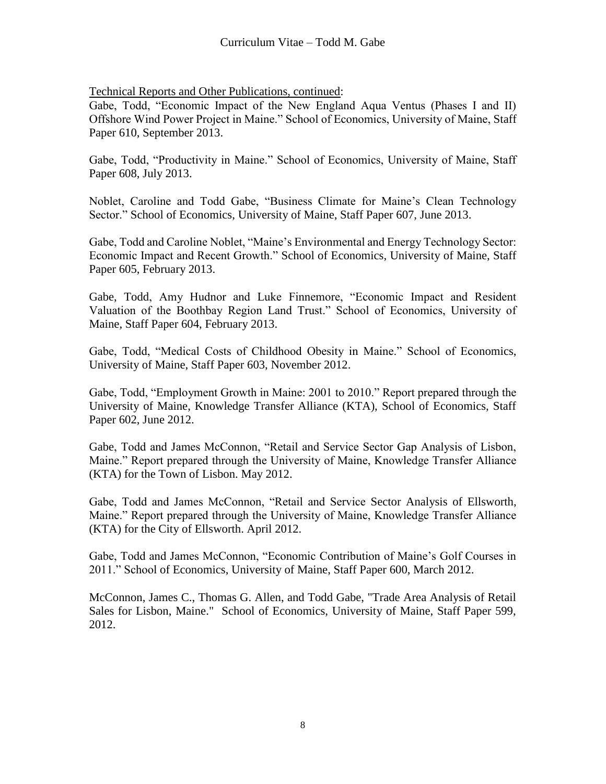Gabe, Todd, "Economic Impact of the New England Aqua Ventus (Phases I and II) Offshore Wind Power Project in Maine." School of Economics, University of Maine, Staff Paper 610, September 2013.

Gabe, Todd, "Productivity in Maine." School of Economics, University of Maine, Staff Paper 608, July 2013.

Noblet, Caroline and Todd Gabe, "Business Climate for Maine's Clean Technology Sector." School of Economics, University of Maine, Staff Paper 607, June 2013.

Gabe, Todd and Caroline Noblet, "Maine's Environmental and Energy Technology Sector: Economic Impact and Recent Growth." School of Economics, University of Maine, Staff Paper 605, February 2013.

Gabe, Todd, Amy Hudnor and Luke Finnemore, "Economic Impact and Resident Valuation of the Boothbay Region Land Trust." School of Economics, University of Maine, Staff Paper 604, February 2013.

Gabe, Todd, "Medical Costs of Childhood Obesity in Maine." School of Economics, University of Maine, Staff Paper 603, November 2012.

Gabe, Todd, "Employment Growth in Maine: 2001 to 2010." Report prepared through the University of Maine, Knowledge Transfer Alliance (KTA), School of Economics, Staff Paper 602, June 2012.

Gabe, Todd and James McConnon, "Retail and Service Sector Gap Analysis of Lisbon, Maine." Report prepared through the University of Maine, Knowledge Transfer Alliance (KTA) for the Town of Lisbon. May 2012.

Gabe, Todd and James McConnon, "Retail and Service Sector Analysis of Ellsworth, Maine." Report prepared through the University of Maine, Knowledge Transfer Alliance (KTA) for the City of Ellsworth. April 2012.

Gabe, Todd and James McConnon, "Economic Contribution of Maine's Golf Courses in 2011." School of Economics, University of Maine, Staff Paper 600, March 2012.

McConnon, James C., Thomas G. Allen, and Todd Gabe, "Trade Area Analysis of Retail Sales for Lisbon, Maine." School of Economics, University of Maine, Staff Paper 599, 2012.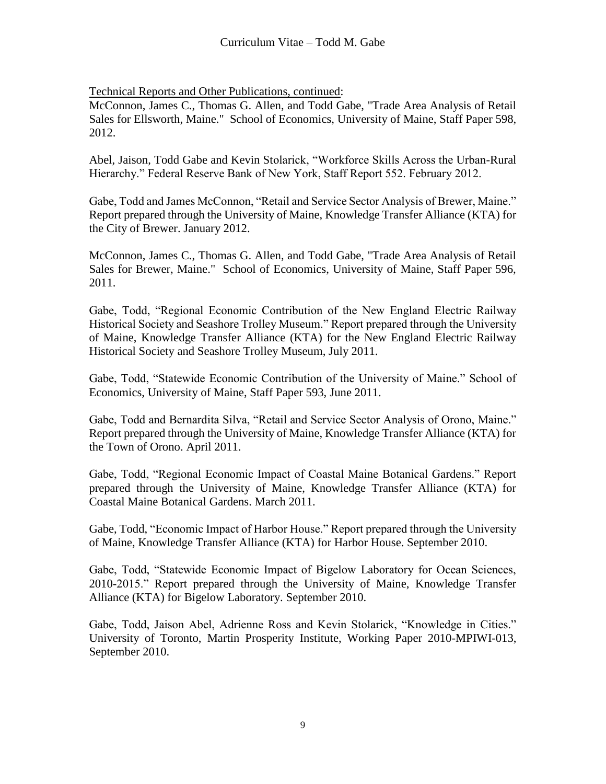McConnon, James C., Thomas G. Allen, and Todd Gabe, "Trade Area Analysis of Retail Sales for Ellsworth, Maine." School of Economics, University of Maine, Staff Paper 598, 2012.

Abel, Jaison, Todd Gabe and Kevin Stolarick, "Workforce Skills Across the Urban-Rural Hierarchy." Federal Reserve Bank of New York, Staff Report 552. February 2012.

Gabe, Todd and James McConnon, "Retail and Service Sector Analysis of Brewer, Maine." Report prepared through the University of Maine, Knowledge Transfer Alliance (KTA) for the City of Brewer. January 2012.

McConnon, James C., Thomas G. Allen, and Todd Gabe, "Trade Area Analysis of Retail Sales for Brewer, Maine." School of Economics, University of Maine, Staff Paper 596, 2011.

Gabe, Todd, "Regional Economic Contribution of the New England Electric Railway Historical Society and Seashore Trolley Museum." Report prepared through the University of Maine, Knowledge Transfer Alliance (KTA) for the New England Electric Railway Historical Society and Seashore Trolley Museum, July 2011.

Gabe, Todd, "Statewide Economic Contribution of the University of Maine." School of Economics, University of Maine, Staff Paper 593, June 2011.

Gabe, Todd and Bernardita Silva, "Retail and Service Sector Analysis of Orono, Maine." Report prepared through the University of Maine, Knowledge Transfer Alliance (KTA) for the Town of Orono. April 2011.

Gabe, Todd, "Regional Economic Impact of Coastal Maine Botanical Gardens." Report prepared through the University of Maine, Knowledge Transfer Alliance (KTA) for Coastal Maine Botanical Gardens. March 2011.

Gabe, Todd, "Economic Impact of Harbor House." Report prepared through the University of Maine, Knowledge Transfer Alliance (KTA) for Harbor House. September 2010.

Gabe, Todd, "Statewide Economic Impact of Bigelow Laboratory for Ocean Sciences, 2010-2015." Report prepared through the University of Maine, Knowledge Transfer Alliance (KTA) for Bigelow Laboratory. September 2010.

Gabe, Todd, Jaison Abel, Adrienne Ross and Kevin Stolarick, "Knowledge in Cities." University of Toronto, Martin Prosperity Institute, Working Paper 2010-MPIWI-013, September 2010.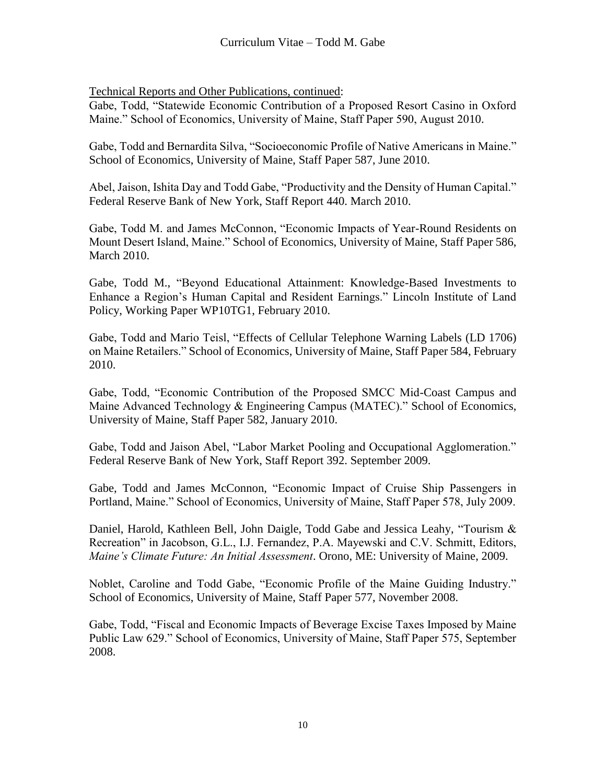Gabe, Todd, "Statewide Economic Contribution of a Proposed Resort Casino in Oxford Maine." School of Economics, University of Maine, Staff Paper 590, August 2010.

Gabe, Todd and Bernardita Silva, "Socioeconomic Profile of Native Americans in Maine." School of Economics, University of Maine, Staff Paper 587, June 2010.

Abel, Jaison, Ishita Day and Todd Gabe, "Productivity and the Density of Human Capital." Federal Reserve Bank of New York, Staff Report 440. March 2010.

Gabe, Todd M. and James McConnon, "Economic Impacts of Year-Round Residents on Mount Desert Island, Maine." School of Economics, University of Maine, Staff Paper 586, March 2010.

Gabe, Todd M., "Beyond Educational Attainment: Knowledge-Based Investments to Enhance a Region's Human Capital and Resident Earnings." Lincoln Institute of Land Policy, Working Paper WP10TG1, February 2010.

Gabe, Todd and Mario Teisl, "Effects of Cellular Telephone Warning Labels (LD 1706) on Maine Retailers." School of Economics, University of Maine, Staff Paper 584, February 2010.

Gabe, Todd, "Economic Contribution of the Proposed SMCC Mid-Coast Campus and Maine Advanced Technology & Engineering Campus (MATEC)." School of Economics, University of Maine, Staff Paper 582, January 2010.

Gabe, Todd and Jaison Abel, "Labor Market Pooling and Occupational Agglomeration." Federal Reserve Bank of New York, Staff Report 392. September 2009.

Gabe, Todd and James McConnon, "Economic Impact of Cruise Ship Passengers in Portland, Maine." School of Economics, University of Maine, Staff Paper 578, July 2009.

Daniel, Harold, Kathleen Bell, John Daigle, Todd Gabe and Jessica Leahy, "Tourism & Recreation" in Jacobson, G.L., I.J. Fernandez, P.A. Mayewski and C.V. Schmitt, Editors, *Maine's Climate Future: An Initial Assessment*. Orono, ME: University of Maine, 2009.

Noblet, Caroline and Todd Gabe, "Economic Profile of the Maine Guiding Industry." School of Economics, University of Maine, Staff Paper 577, November 2008.

Gabe, Todd, "Fiscal and Economic Impacts of Beverage Excise Taxes Imposed by Maine Public Law 629." School of Economics, University of Maine, Staff Paper 575, September 2008.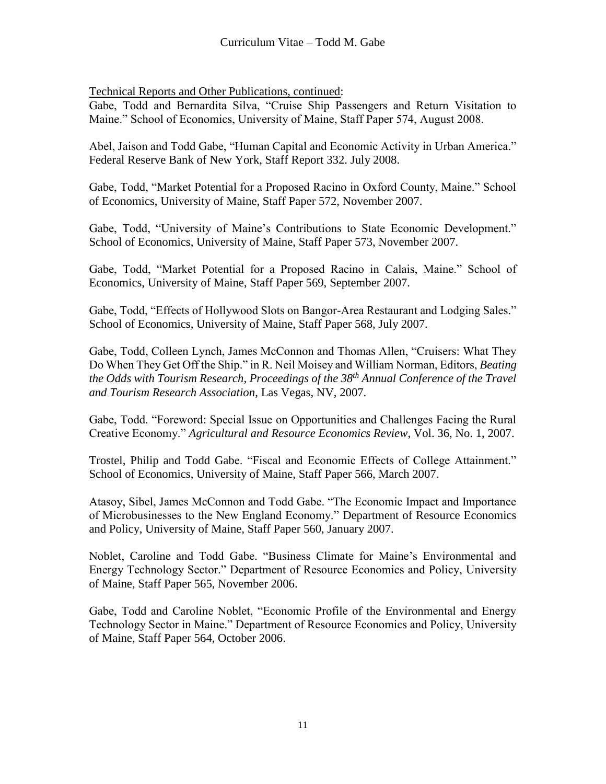Gabe, Todd and Bernardita Silva, "Cruise Ship Passengers and Return Visitation to Maine." School of Economics, University of Maine, Staff Paper 574, August 2008.

Abel, Jaison and Todd Gabe, "Human Capital and Economic Activity in Urban America." Federal Reserve Bank of New York, Staff Report 332. July 2008.

Gabe, Todd, "Market Potential for a Proposed Racino in Oxford County, Maine." School of Economics, University of Maine, Staff Paper 572, November 2007.

Gabe, Todd, "University of Maine's Contributions to State Economic Development." School of Economics, University of Maine, Staff Paper 573, November 2007.

Gabe, Todd, "Market Potential for a Proposed Racino in Calais, Maine." School of Economics, University of Maine, Staff Paper 569, September 2007.

Gabe, Todd, "Effects of Hollywood Slots on Bangor-Area Restaurant and Lodging Sales." School of Economics, University of Maine, Staff Paper 568, July 2007.

Gabe, Todd, Colleen Lynch, James McConnon and Thomas Allen, "Cruisers: What They Do When They Get Off the Ship." in R. Neil Moisey and William Norman, Editors, *Beating the Odds with Tourism Research*, *Proceedings of the 38th Annual Conference of the Travel and Tourism Research Association*, Las Vegas, NV, 2007.

Gabe, Todd. "Foreword: Special Issue on Opportunities and Challenges Facing the Rural Creative Economy." *Agricultural and Resource Economics Review*, Vol. 36, No. 1, 2007.

Trostel, Philip and Todd Gabe. "Fiscal and Economic Effects of College Attainment." School of Economics, University of Maine, Staff Paper 566, March 2007.

Atasoy, Sibel, James McConnon and Todd Gabe. "The Economic Impact and Importance of Microbusinesses to the New England Economy." Department of Resource Economics and Policy, University of Maine, Staff Paper 560, January 2007.

Noblet, Caroline and Todd Gabe. "Business Climate for Maine's Environmental and Energy Technology Sector." Department of Resource Economics and Policy, University of Maine, Staff Paper 565, November 2006.

Gabe, Todd and Caroline Noblet, "Economic Profile of the Environmental and Energy Technology Sector in Maine." Department of Resource Economics and Policy, University of Maine, Staff Paper 564, October 2006.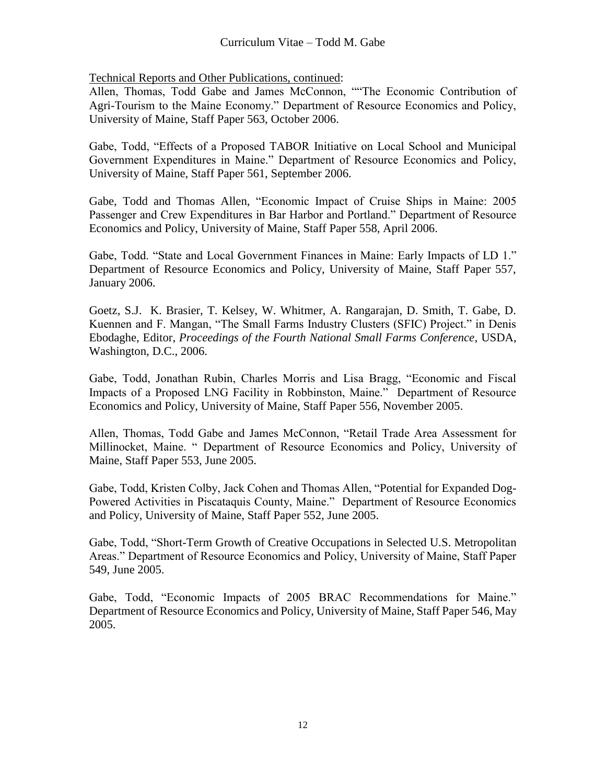Allen, Thomas, Todd Gabe and James McConnon, ""The Economic Contribution of Agri-Tourism to the Maine Economy." Department of Resource Economics and Policy, University of Maine, Staff Paper 563, October 2006.

Gabe, Todd, "Effects of a Proposed TABOR Initiative on Local School and Municipal Government Expenditures in Maine." Department of Resource Economics and Policy, University of Maine, Staff Paper 561, September 2006.

Gabe, Todd and Thomas Allen, "Economic Impact of Cruise Ships in Maine: 2005 Passenger and Crew Expenditures in Bar Harbor and Portland." Department of Resource Economics and Policy, University of Maine, Staff Paper 558, April 2006.

Gabe, Todd. "State and Local Government Finances in Maine: Early Impacts of LD 1." Department of Resource Economics and Policy, University of Maine, Staff Paper 557, January 2006.

Goetz, S.J. K. Brasier, T. Kelsey, W. Whitmer, A. Rangarajan, D. Smith, T. Gabe, D. Kuennen and F. Mangan, "The Small Farms Industry Clusters (SFIC) Project." in Denis Ebodaghe, Editor, *Proceedings of the Fourth National Small Farms Conference*, USDA, Washington, D.C., 2006.

Gabe, Todd, Jonathan Rubin, Charles Morris and Lisa Bragg, "Economic and Fiscal Impacts of a Proposed LNG Facility in Robbinston, Maine." Department of Resource Economics and Policy, University of Maine, Staff Paper 556, November 2005.

Allen, Thomas, Todd Gabe and James McConnon, "Retail Trade Area Assessment for Millinocket, Maine. " Department of Resource Economics and Policy, University of Maine, Staff Paper 553, June 2005.

Gabe, Todd, Kristen Colby, Jack Cohen and Thomas Allen, "Potential for Expanded Dog-Powered Activities in Piscataquis County, Maine." Department of Resource Economics and Policy, University of Maine, Staff Paper 552, June 2005.

Gabe, Todd, "Short-Term Growth of Creative Occupations in Selected U.S. Metropolitan Areas." Department of Resource Economics and Policy, University of Maine, Staff Paper 549, June 2005.

Gabe, Todd, "Economic Impacts of 2005 BRAC Recommendations for Maine." Department of Resource Economics and Policy, University of Maine, Staff Paper 546, May 2005.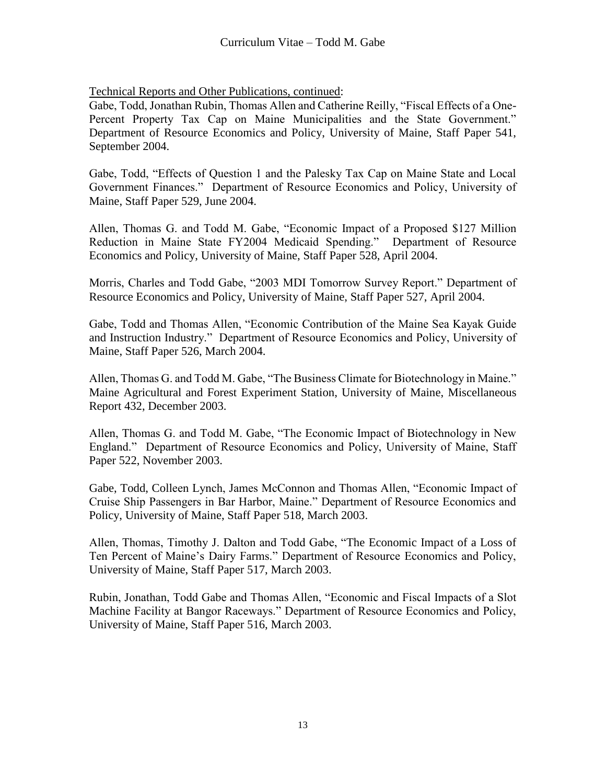Gabe, Todd, Jonathan Rubin, Thomas Allen and Catherine Reilly, "Fiscal Effects of a One-Percent Property Tax Cap on Maine Municipalities and the State Government." Department of Resource Economics and Policy, University of Maine, Staff Paper 541, September 2004.

Gabe, Todd, "Effects of Question 1 and the Palesky Tax Cap on Maine State and Local Government Finances." Department of Resource Economics and Policy, University of Maine, Staff Paper 529, June 2004.

Allen, Thomas G. and Todd M. Gabe, "Economic Impact of a Proposed \$127 Million Reduction in Maine State FY2004 Medicaid Spending." Department of Resource Economics and Policy, University of Maine, Staff Paper 528, April 2004.

Morris, Charles and Todd Gabe, "2003 MDI Tomorrow Survey Report." Department of Resource Economics and Policy, University of Maine, Staff Paper 527, April 2004.

Gabe, Todd and Thomas Allen, "Economic Contribution of the Maine Sea Kayak Guide and Instruction Industry." Department of Resource Economics and Policy, University of Maine, Staff Paper 526, March 2004.

Allen, Thomas G. and Todd M. Gabe, "The Business Climate for Biotechnology in Maine." Maine Agricultural and Forest Experiment Station, University of Maine, Miscellaneous Report 432, December 2003.

Allen, Thomas G. and Todd M. Gabe, "The Economic Impact of Biotechnology in New England." Department of Resource Economics and Policy, University of Maine, Staff Paper 522, November 2003.

Gabe, Todd, Colleen Lynch, James McConnon and Thomas Allen, "Economic Impact of Cruise Ship Passengers in Bar Harbor, Maine." Department of Resource Economics and Policy, University of Maine, Staff Paper 518, March 2003.

Allen, Thomas, Timothy J. Dalton and Todd Gabe, "The Economic Impact of a Loss of Ten Percent of Maine's Dairy Farms." Department of Resource Economics and Policy, University of Maine, Staff Paper 517, March 2003.

Rubin, Jonathan, Todd Gabe and Thomas Allen, "Economic and Fiscal Impacts of a Slot Machine Facility at Bangor Raceways." Department of Resource Economics and Policy, University of Maine, Staff Paper 516, March 2003.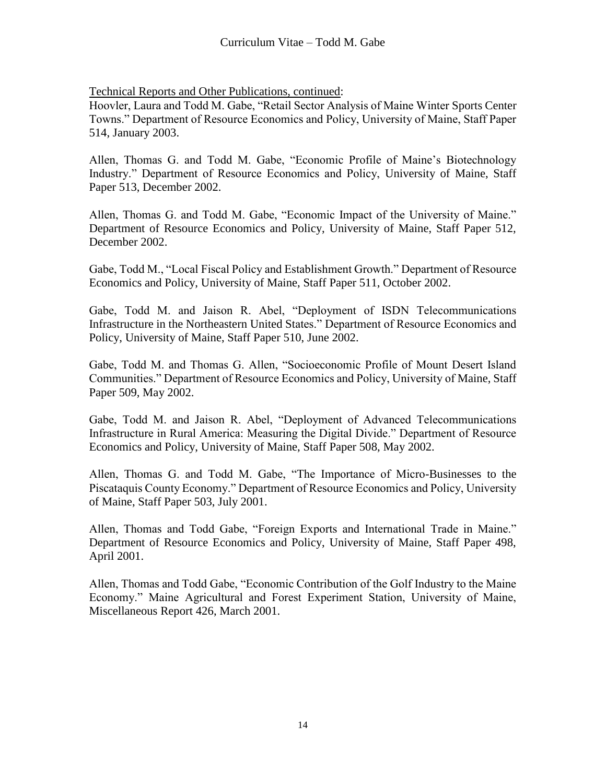Hoovler, Laura and Todd M. Gabe, "Retail Sector Analysis of Maine Winter Sports Center Towns." Department of Resource Economics and Policy, University of Maine, Staff Paper 514, January 2003.

Allen, Thomas G. and Todd M. Gabe, "Economic Profile of Maine's Biotechnology Industry." Department of Resource Economics and Policy, University of Maine, Staff Paper 513, December 2002.

Allen, Thomas G. and Todd M. Gabe, "Economic Impact of the University of Maine." Department of Resource Economics and Policy, University of Maine, Staff Paper 512, December 2002.

Gabe, Todd M., "Local Fiscal Policy and Establishment Growth." Department of Resource Economics and Policy, University of Maine, Staff Paper 511, October 2002.

Gabe, Todd M. and Jaison R. Abel, "Deployment of ISDN Telecommunications Infrastructure in the Northeastern United States." Department of Resource Economics and Policy, University of Maine, Staff Paper 510, June 2002.

Gabe, Todd M. and Thomas G. Allen, "Socioeconomic Profile of Mount Desert Island Communities." Department of Resource Economics and Policy, University of Maine, Staff Paper 509, May 2002.

Gabe, Todd M. and Jaison R. Abel, "Deployment of Advanced Telecommunications Infrastructure in Rural America: Measuring the Digital Divide." Department of Resource Economics and Policy, University of Maine, Staff Paper 508, May 2002.

Allen, Thomas G. and Todd M. Gabe, "The Importance of Micro-Businesses to the Piscataquis County Economy." Department of Resource Economics and Policy, University of Maine, Staff Paper 503, July 2001.

Allen, Thomas and Todd Gabe, "Foreign Exports and International Trade in Maine." Department of Resource Economics and Policy, University of Maine, Staff Paper 498, April 2001.

Allen, Thomas and Todd Gabe, "Economic Contribution of the Golf Industry to the Maine Economy." Maine Agricultural and Forest Experiment Station, University of Maine, Miscellaneous Report 426, March 2001.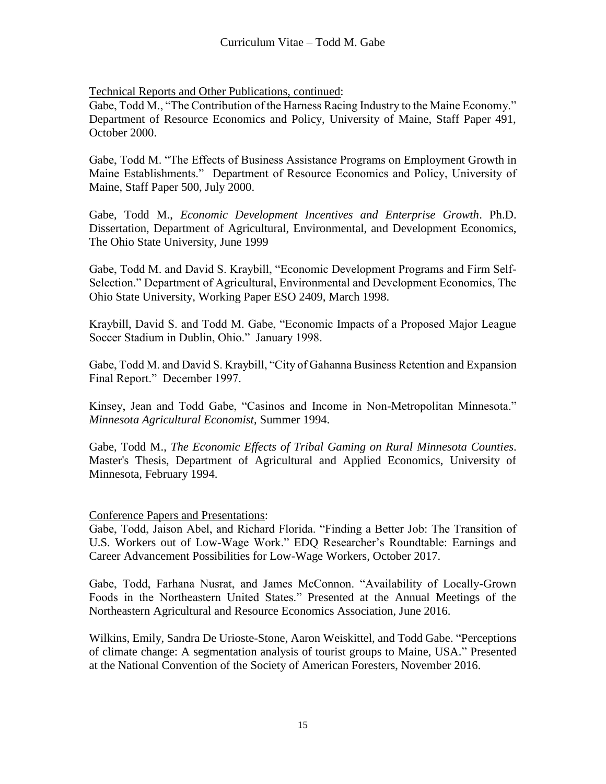Gabe, Todd M., "The Contribution of the Harness Racing Industry to the Maine Economy." Department of Resource Economics and Policy, University of Maine, Staff Paper 491, October 2000.

Gabe, Todd M. "The Effects of Business Assistance Programs on Employment Growth in Maine Establishments." Department of Resource Economics and Policy, University of Maine, Staff Paper 500, July 2000.

Gabe, Todd M., *Economic Development Incentives and Enterprise Growth*. Ph.D. Dissertation, Department of Agricultural, Environmental, and Development Economics, The Ohio State University, June 1999

Gabe, Todd M. and David S. Kraybill, "Economic Development Programs and Firm Self-Selection." Department of Agricultural, Environmental and Development Economics, The Ohio State University, Working Paper ESO 2409, March 1998.

Kraybill, David S. and Todd M. Gabe, "Economic Impacts of a Proposed Major League Soccer Stadium in Dublin, Ohio." January 1998.

Gabe, Todd M. and David S. Kraybill, "City of Gahanna Business Retention and Expansion Final Report." December 1997.

Kinsey, Jean and Todd Gabe, "Casinos and Income in Non-Metropolitan Minnesota." *Minnesota Agricultural Economist*, Summer 1994.

Gabe, Todd M., *The Economic Effects of Tribal Gaming on Rural Minnesota Counties*. Master's Thesis, Department of Agricultural and Applied Economics, University of Minnesota, February 1994.

Conference Papers and Presentations:

Gabe, Todd, Jaison Abel, and Richard Florida. "Finding a Better Job: The Transition of U.S. Workers out of Low-Wage Work." EDQ Researcher's Roundtable: Earnings and Career Advancement Possibilities for Low-Wage Workers, October 2017.

Gabe, Todd, Farhana Nusrat, and James McConnon. "Availability of Locally-Grown Foods in the Northeastern United States." Presented at the Annual Meetings of the Northeastern Agricultural and Resource Economics Association, June 2016.

Wilkins, Emily, Sandra De Urioste-Stone, Aaron Weiskittel, and Todd Gabe. "Perceptions of climate change: A segmentation analysis of tourist groups to Maine, USA." Presented at the National Convention of the Society of American Foresters, November 2016.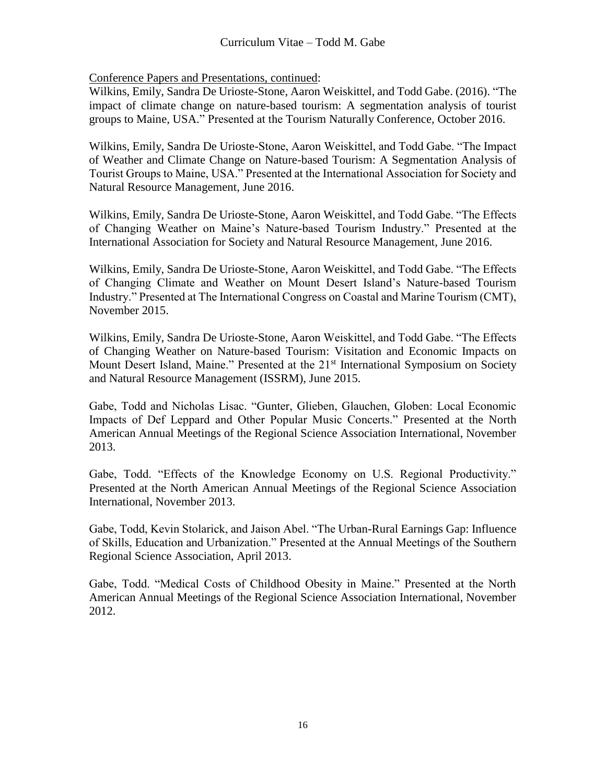Wilkins, Emily, Sandra De Urioste-Stone, Aaron Weiskittel, and Todd Gabe. (2016). "The impact of climate change on nature-based tourism: A segmentation analysis of tourist groups to Maine, USA." Presented at the Tourism Naturally Conference, October 2016.

Wilkins, Emily, Sandra De Urioste-Stone, Aaron Weiskittel, and Todd Gabe. "The Impact of Weather and Climate Change on Nature-based Tourism: A Segmentation Analysis of Tourist Groups to Maine, USA." Presented at the International Association for Society and Natural Resource Management, June 2016.

Wilkins, Emily, Sandra De Urioste-Stone, Aaron Weiskittel, and Todd Gabe. "The Effects of Changing Weather on Maine's Nature-based Tourism Industry." Presented at the International Association for Society and Natural Resource Management, June 2016.

Wilkins, Emily, Sandra De Urioste-Stone, Aaron Weiskittel, and Todd Gabe. "The Effects of Changing Climate and Weather on Mount Desert Island's Nature-based Tourism Industry." Presented at The International Congress on Coastal and Marine Tourism (CMT), November 2015.

Wilkins, Emily, Sandra De Urioste-Stone, Aaron Weiskittel, and Todd Gabe. "The Effects of Changing Weather on Nature-based Tourism: Visitation and Economic Impacts on Mount Desert Island, Maine." Presented at the 21<sup>st</sup> International Symposium on Society and Natural Resource Management (ISSRM), June 2015.

Gabe, Todd and Nicholas Lisac. "Gunter, Glieben, Glauchen, Globen: Local Economic Impacts of Def Leppard and Other Popular Music Concerts." Presented at the North American Annual Meetings of the Regional Science Association International, November 2013.

Gabe, Todd. "Effects of the Knowledge Economy on U.S. Regional Productivity." Presented at the North American Annual Meetings of the Regional Science Association International, November 2013.

Gabe, Todd, Kevin Stolarick, and Jaison Abel. "The Urban-Rural Earnings Gap: Influence of Skills, Education and Urbanization." Presented at the Annual Meetings of the Southern Regional Science Association, April 2013.

Gabe, Todd. "Medical Costs of Childhood Obesity in Maine." Presented at the North American Annual Meetings of the Regional Science Association International, November 2012.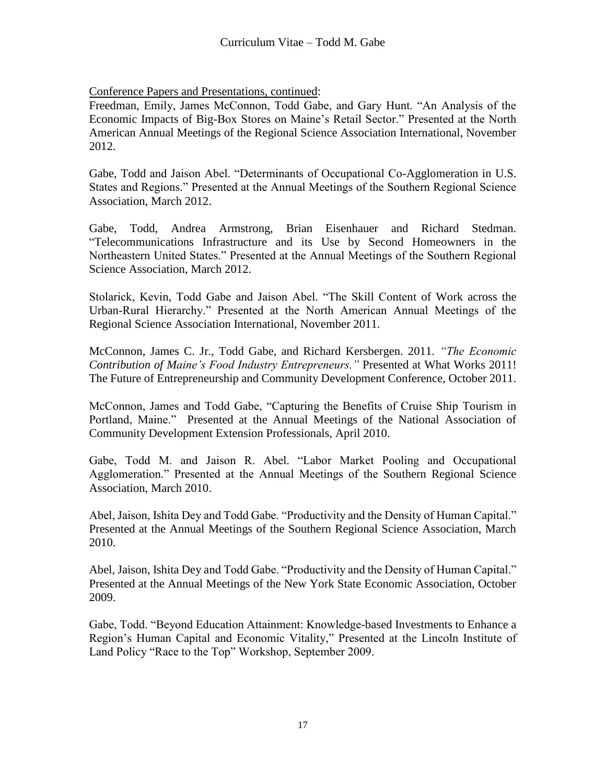Freedman, Emily, James McConnon, Todd Gabe, and Gary Hunt. "An Analysis of the Economic Impacts of Big-Box Stores on Maine's Retail Sector." Presented at the North American Annual Meetings of the Regional Science Association International, November 2012.

Gabe, Todd and Jaison Abel. "Determinants of Occupational Co-Agglomeration in U.S. States and Regions." Presented at the Annual Meetings of the Southern Regional Science Association, March 2012.

Gabe, Todd, Andrea Armstrong, Brian Eisenhauer and Richard Stedman. "Telecommunications Infrastructure and its Use by Second Homeowners in the Northeastern United States." Presented at the Annual Meetings of the Southern Regional Science Association, March 2012.

Stolarick, Kevin, Todd Gabe and Jaison Abel. "The Skill Content of Work across the Urban-Rural Hierarchy." Presented at the North American Annual Meetings of the Regional Science Association International, November 2011.

McConnon, James C. Jr., Todd Gabe, and Richard Kersbergen. 2011. *"The Economic Contribution of Maine's Food Industry Entrepreneurs."* Presented at What Works 2011! The Future of Entrepreneurship and Community Development Conference, October 2011.

McConnon, James and Todd Gabe, "Capturing the Benefits of Cruise Ship Tourism in Portland, Maine." Presented at the Annual Meetings of the National Association of Community Development Extension Professionals, April 2010.

Gabe, Todd M. and Jaison R. Abel. "Labor Market Pooling and Occupational Agglomeration." Presented at the Annual Meetings of the Southern Regional Science Association, March 2010.

Abel, Jaison, Ishita Dey and Todd Gabe. "Productivity and the Density of Human Capital." Presented at the Annual Meetings of the Southern Regional Science Association, March 2010.

Abel, Jaison, Ishita Dey and Todd Gabe. "Productivity and the Density of Human Capital." Presented at the Annual Meetings of the New York State Economic Association, October 2009.

Gabe, Todd. "Beyond Education Attainment: Knowledge-based Investments to Enhance a Region's Human Capital and Economic Vitality," Presented at the Lincoln Institute of Land Policy "Race to the Top" Workshop, September 2009.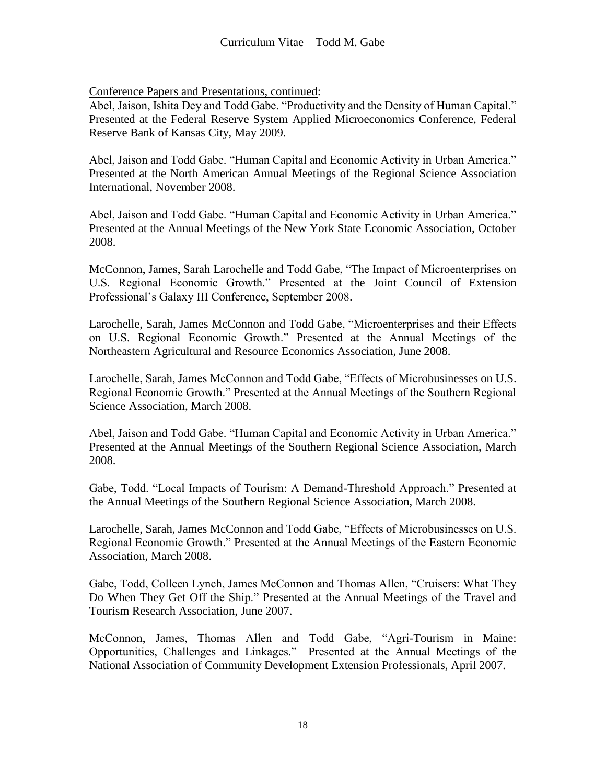Abel, Jaison, Ishita Dey and Todd Gabe. "Productivity and the Density of Human Capital." Presented at the Federal Reserve System Applied Microeconomics Conference, Federal Reserve Bank of Kansas City, May 2009.

Abel, Jaison and Todd Gabe. "Human Capital and Economic Activity in Urban America." Presented at the North American Annual Meetings of the Regional Science Association International, November 2008.

Abel, Jaison and Todd Gabe. "Human Capital and Economic Activity in Urban America." Presented at the Annual Meetings of the New York State Economic Association, October 2008.

McConnon, James, Sarah Larochelle and Todd Gabe, "The Impact of Microenterprises on U.S. Regional Economic Growth." Presented at the Joint Council of Extension Professional's Galaxy III Conference, September 2008.

Larochelle, Sarah, James McConnon and Todd Gabe, "Microenterprises and their Effects on U.S. Regional Economic Growth." Presented at the Annual Meetings of the Northeastern Agricultural and Resource Economics Association, June 2008.

Larochelle, Sarah, James McConnon and Todd Gabe, "Effects of Microbusinesses on U.S. Regional Economic Growth." Presented at the Annual Meetings of the Southern Regional Science Association, March 2008.

Abel, Jaison and Todd Gabe. "Human Capital and Economic Activity in Urban America." Presented at the Annual Meetings of the Southern Regional Science Association, March 2008.

Gabe, Todd. "Local Impacts of Tourism: A Demand-Threshold Approach." Presented at the Annual Meetings of the Southern Regional Science Association, March 2008.

Larochelle, Sarah, James McConnon and Todd Gabe, "Effects of Microbusinesses on U.S. Regional Economic Growth." Presented at the Annual Meetings of the Eastern Economic Association, March 2008.

Gabe, Todd, Colleen Lynch, James McConnon and Thomas Allen, "Cruisers: What They Do When They Get Off the Ship." Presented at the Annual Meetings of the Travel and Tourism Research Association, June 2007.

McConnon, James, Thomas Allen and Todd Gabe, "Agri-Tourism in Maine: Opportunities, Challenges and Linkages." Presented at the Annual Meetings of the National Association of Community Development Extension Professionals, April 2007.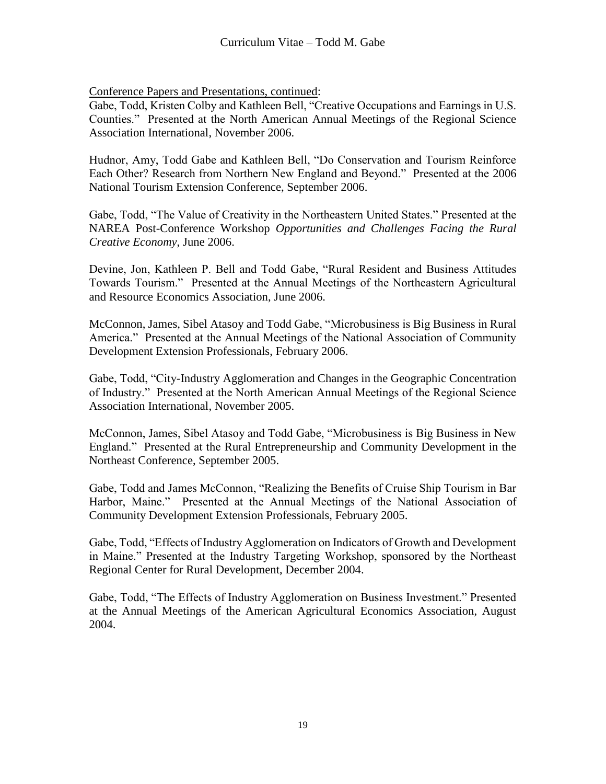Gabe, Todd, Kristen Colby and Kathleen Bell, "Creative Occupations and Earnings in U.S. Counties." Presented at the North American Annual Meetings of the Regional Science Association International, November 2006.

Hudnor, Amy, Todd Gabe and Kathleen Bell, "Do Conservation and Tourism Reinforce Each Other? Research from Northern New England and Beyond." Presented at the 2006 National Tourism Extension Conference, September 2006.

Gabe, Todd, "The Value of Creativity in the Northeastern United States." Presented at the NAREA Post-Conference Workshop *Opportunities and Challenges Facing the Rural Creative Economy*, June 2006.

Devine, Jon, Kathleen P. Bell and Todd Gabe, "Rural Resident and Business Attitudes Towards Tourism." Presented at the Annual Meetings of the Northeastern Agricultural and Resource Economics Association, June 2006.

McConnon, James, Sibel Atasoy and Todd Gabe, "Microbusiness is Big Business in Rural America." Presented at the Annual Meetings of the National Association of Community Development Extension Professionals, February 2006.

Gabe, Todd, "City-Industry Agglomeration and Changes in the Geographic Concentration of Industry." Presented at the North American Annual Meetings of the Regional Science Association International, November 2005.

McConnon, James, Sibel Atasoy and Todd Gabe, "Microbusiness is Big Business in New England." Presented at the Rural Entrepreneurship and Community Development in the Northeast Conference, September 2005.

Gabe, Todd and James McConnon, "Realizing the Benefits of Cruise Ship Tourism in Bar Harbor, Maine." Presented at the Annual Meetings of the National Association of Community Development Extension Professionals, February 2005.

Gabe, Todd, "Effects of Industry Agglomeration on Indicators of Growth and Development in Maine." Presented at the Industry Targeting Workshop, sponsored by the Northeast Regional Center for Rural Development, December 2004.

Gabe, Todd, "The Effects of Industry Agglomeration on Business Investment." Presented at the Annual Meetings of the American Agricultural Economics Association, August 2004.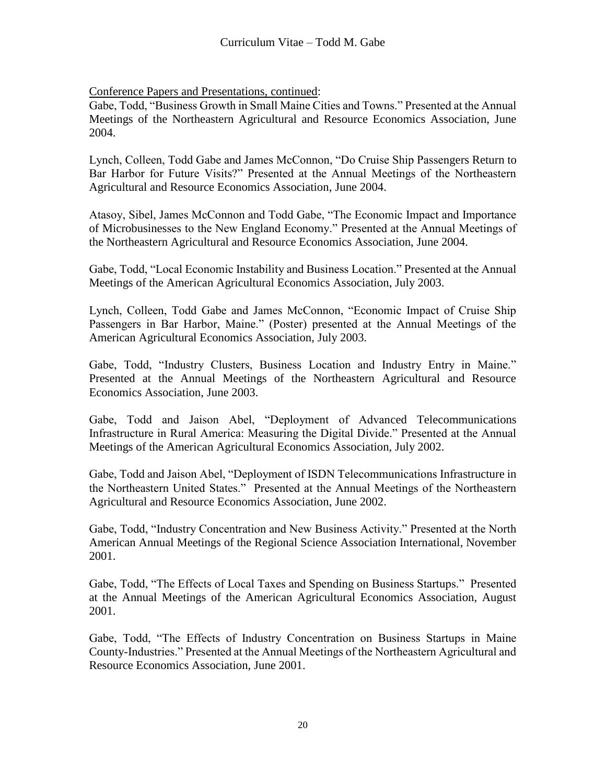Gabe, Todd, "Business Growth in Small Maine Cities and Towns." Presented at the Annual Meetings of the Northeastern Agricultural and Resource Economics Association, June 2004.

Lynch, Colleen, Todd Gabe and James McConnon, "Do Cruise Ship Passengers Return to Bar Harbor for Future Visits?" Presented at the Annual Meetings of the Northeastern Agricultural and Resource Economics Association, June 2004.

Atasoy, Sibel, James McConnon and Todd Gabe, "The Economic Impact and Importance of Microbusinesses to the New England Economy." Presented at the Annual Meetings of the Northeastern Agricultural and Resource Economics Association, June 2004.

Gabe, Todd, "Local Economic Instability and Business Location." Presented at the Annual Meetings of the American Agricultural Economics Association, July 2003.

Lynch, Colleen, Todd Gabe and James McConnon, "Economic Impact of Cruise Ship Passengers in Bar Harbor, Maine." (Poster) presented at the Annual Meetings of the American Agricultural Economics Association, July 2003.

Gabe, Todd, "Industry Clusters, Business Location and Industry Entry in Maine." Presented at the Annual Meetings of the Northeastern Agricultural and Resource Economics Association, June 2003.

Gabe, Todd and Jaison Abel, "Deployment of Advanced Telecommunications Infrastructure in Rural America: Measuring the Digital Divide." Presented at the Annual Meetings of the American Agricultural Economics Association, July 2002.

Gabe, Todd and Jaison Abel, "Deployment of ISDN Telecommunications Infrastructure in the Northeastern United States." Presented at the Annual Meetings of the Northeastern Agricultural and Resource Economics Association, June 2002.

Gabe, Todd, "Industry Concentration and New Business Activity." Presented at the North American Annual Meetings of the Regional Science Association International, November 2001.

Gabe, Todd, "The Effects of Local Taxes and Spending on Business Startups." Presented at the Annual Meetings of the American Agricultural Economics Association, August 2001.

Gabe, Todd, "The Effects of Industry Concentration on Business Startups in Maine County-Industries." Presented at the Annual Meetings of the Northeastern Agricultural and Resource Economics Association, June 2001.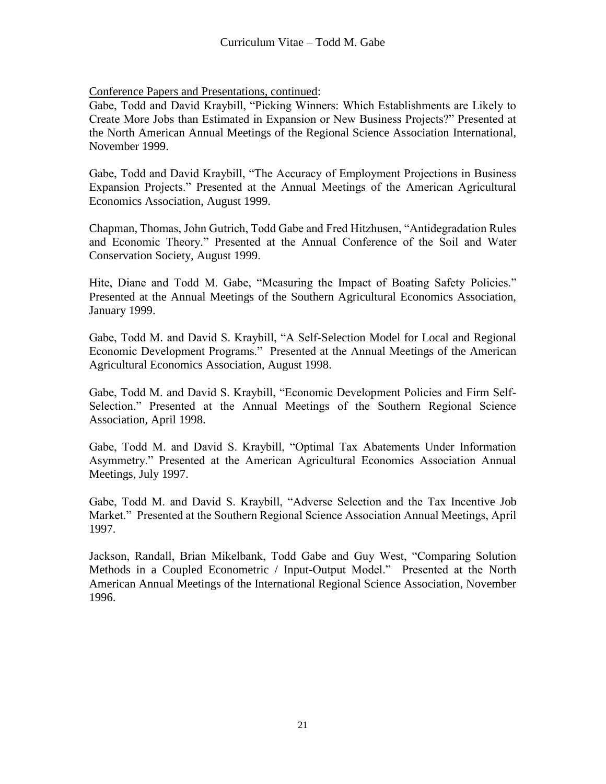Gabe, Todd and David Kraybill, "Picking Winners: Which Establishments are Likely to Create More Jobs than Estimated in Expansion or New Business Projects?" Presented at the North American Annual Meetings of the Regional Science Association International, November 1999.

Gabe, Todd and David Kraybill, "The Accuracy of Employment Projections in Business Expansion Projects." Presented at the Annual Meetings of the American Agricultural Economics Association, August 1999.

Chapman, Thomas, John Gutrich, Todd Gabe and Fred Hitzhusen, "Antidegradation Rules and Economic Theory." Presented at the Annual Conference of the Soil and Water Conservation Society, August 1999.

Hite, Diane and Todd M. Gabe, "Measuring the Impact of Boating Safety Policies." Presented at the Annual Meetings of the Southern Agricultural Economics Association, January 1999.

Gabe, Todd M. and David S. Kraybill, "A Self-Selection Model for Local and Regional Economic Development Programs." Presented at the Annual Meetings of the American Agricultural Economics Association, August 1998.

Gabe, Todd M. and David S. Kraybill, "Economic Development Policies and Firm Self-Selection." Presented at the Annual Meetings of the Southern Regional Science Association, April 1998.

Gabe, Todd M. and David S. Kraybill, "Optimal Tax Abatements Under Information Asymmetry." Presented at the American Agricultural Economics Association Annual Meetings, July 1997.

Gabe, Todd M. and David S. Kraybill, "Adverse Selection and the Tax Incentive Job Market." Presented at the Southern Regional Science Association Annual Meetings, April 1997.

Jackson, Randall, Brian Mikelbank, Todd Gabe and Guy West, "Comparing Solution Methods in a Coupled Econometric / Input-Output Model." Presented at the North American Annual Meetings of the International Regional Science Association, November 1996.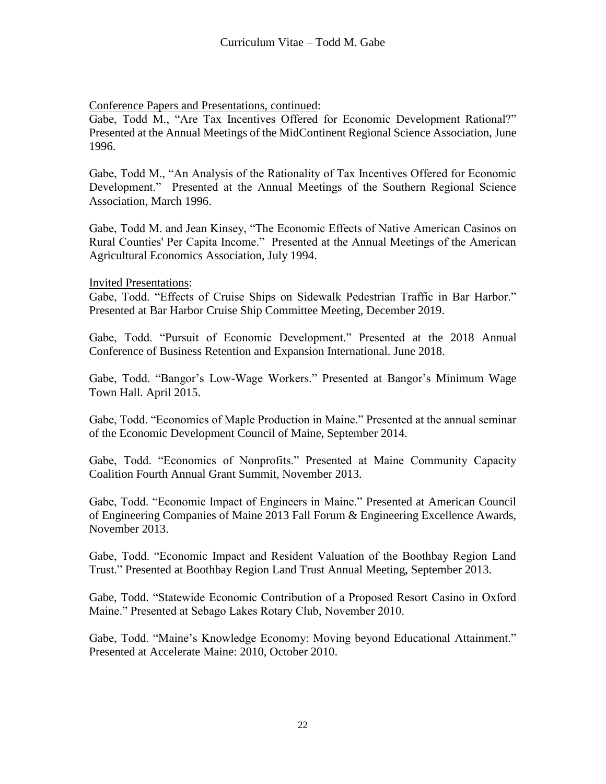Gabe, Todd M., "Are Tax Incentives Offered for Economic Development Rational?" Presented at the Annual Meetings of the MidContinent Regional Science Association, June 1996.

Gabe, Todd M., "An Analysis of the Rationality of Tax Incentives Offered for Economic Development." Presented at the Annual Meetings of the Southern Regional Science Association, March 1996.

Gabe, Todd M. and Jean Kinsey, "The Economic Effects of Native American Casinos on Rural Counties' Per Capita Income." Presented at the Annual Meetings of the American Agricultural Economics Association, July 1994.

## Invited Presentations:

Gabe, Todd. "Effects of Cruise Ships on Sidewalk Pedestrian Traffic in Bar Harbor." Presented at Bar Harbor Cruise Ship Committee Meeting, December 2019.

Gabe, Todd. "Pursuit of Economic Development." Presented at the 2018 Annual Conference of Business Retention and Expansion International. June 2018.

Gabe, Todd. "Bangor's Low-Wage Workers." Presented at Bangor's Minimum Wage Town Hall. April 2015.

Gabe, Todd. "Economics of Maple Production in Maine." Presented at the annual seminar of the Economic Development Council of Maine, September 2014.

Gabe, Todd. "Economics of Nonprofits." Presented at Maine Community Capacity Coalition Fourth Annual Grant Summit, November 2013.

Gabe, Todd. "Economic Impact of Engineers in Maine." Presented at American Council of Engineering Companies of Maine 2013 Fall Forum & Engineering Excellence Awards, November 2013.

Gabe, Todd. "Economic Impact and Resident Valuation of the Boothbay Region Land Trust." Presented at Boothbay Region Land Trust Annual Meeting, September 2013.

Gabe, Todd. "Statewide Economic Contribution of a Proposed Resort Casino in Oxford Maine." Presented at Sebago Lakes Rotary Club, November 2010.

Gabe, Todd. "Maine's Knowledge Economy: Moving beyond Educational Attainment." Presented at Accelerate Maine: 2010, October 2010.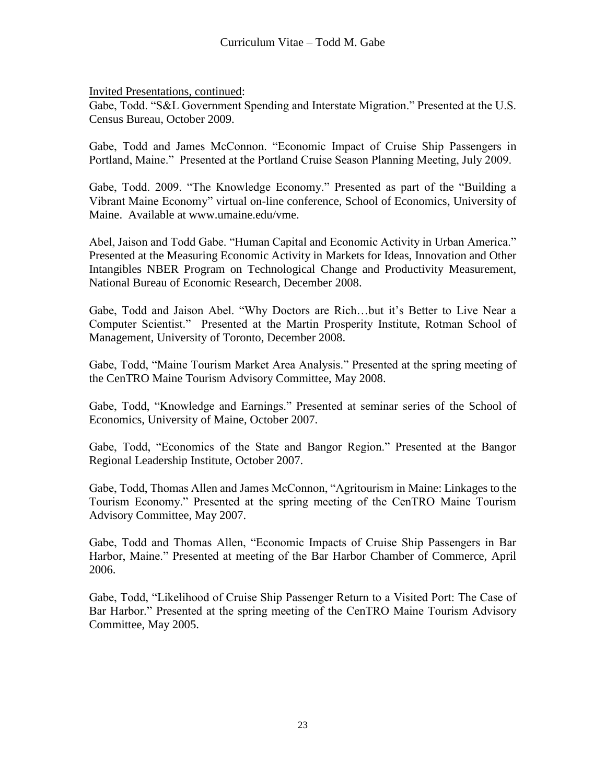Invited Presentations, continued:

Gabe, Todd. "S&L Government Spending and Interstate Migration." Presented at the U.S. Census Bureau, October 2009.

Gabe, Todd and James McConnon. "Economic Impact of Cruise Ship Passengers in Portland, Maine." Presented at the Portland Cruise Season Planning Meeting, July 2009.

Gabe, Todd. 2009. "The Knowledge Economy." Presented as part of the "Building a Vibrant Maine Economy" virtual on-line conference, School of Economics, University of Maine. Available at www.umaine.edu/vme.

Abel, Jaison and Todd Gabe. "Human Capital and Economic Activity in Urban America." Presented at the Measuring Economic Activity in Markets for Ideas, Innovation and Other Intangibles NBER Program on Technological Change and Productivity Measurement, National Bureau of Economic Research, December 2008.

Gabe, Todd and Jaison Abel. "Why Doctors are Rich…but it's Better to Live Near a Computer Scientist." Presented at the Martin Prosperity Institute, Rotman School of Management, University of Toronto, December 2008.

Gabe, Todd, "Maine Tourism Market Area Analysis." Presented at the spring meeting of the CenTRO Maine Tourism Advisory Committee, May 2008.

Gabe, Todd, "Knowledge and Earnings." Presented at seminar series of the School of Economics, University of Maine, October 2007.

Gabe, Todd, "Economics of the State and Bangor Region." Presented at the Bangor Regional Leadership Institute, October 2007.

Gabe, Todd, Thomas Allen and James McConnon, "Agritourism in Maine: Linkages to the Tourism Economy." Presented at the spring meeting of the CenTRO Maine Tourism Advisory Committee, May 2007.

Gabe, Todd and Thomas Allen, "Economic Impacts of Cruise Ship Passengers in Bar Harbor, Maine." Presented at meeting of the Bar Harbor Chamber of Commerce, April 2006.

Gabe, Todd, "Likelihood of Cruise Ship Passenger Return to a Visited Port: The Case of Bar Harbor." Presented at the spring meeting of the CenTRO Maine Tourism Advisory Committee, May 2005.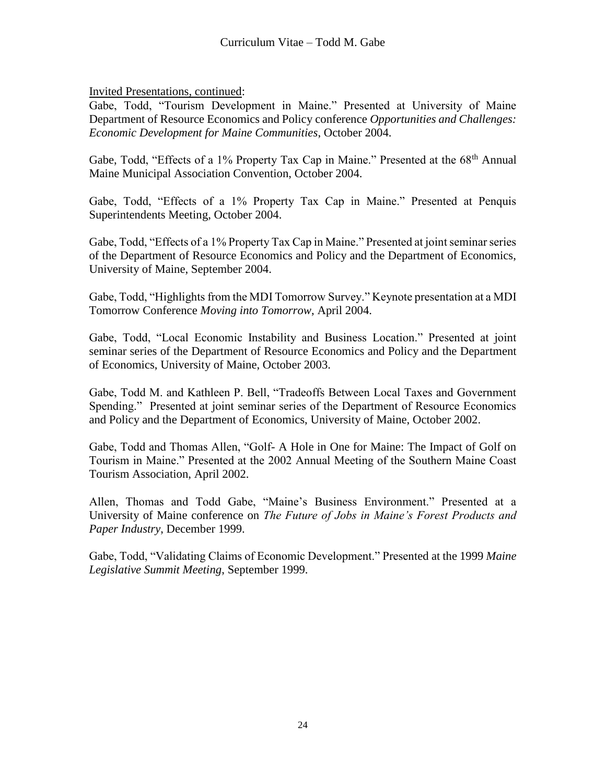Invited Presentations, continued:

Gabe, Todd, "Tourism Development in Maine." Presented at University of Maine Department of Resource Economics and Policy conference *Opportunities and Challenges: Economic Development for Maine Communities*, October 2004.

Gabe, Todd, "Effects of a 1% Property Tax Cap in Maine." Presented at the 68<sup>th</sup> Annual Maine Municipal Association Convention, October 2004.

Gabe, Todd, "Effects of a 1% Property Tax Cap in Maine." Presented at Penquis Superintendents Meeting, October 2004.

Gabe, Todd, "Effects of a 1% Property Tax Cap in Maine." Presented at joint seminar series of the Department of Resource Economics and Policy and the Department of Economics, University of Maine, September 2004.

Gabe, Todd, "Highlights from the MDI Tomorrow Survey." Keynote presentation at a MDI Tomorrow Conference *Moving into Tomorrow*, April 2004.

Gabe, Todd, "Local Economic Instability and Business Location." Presented at joint seminar series of the Department of Resource Economics and Policy and the Department of Economics, University of Maine, October 2003.

Gabe, Todd M. and Kathleen P. Bell, "Tradeoffs Between Local Taxes and Government Spending." Presented at joint seminar series of the Department of Resource Economics and Policy and the Department of Economics, University of Maine, October 2002.

Gabe, Todd and Thomas Allen, "Golf- A Hole in One for Maine: The Impact of Golf on Tourism in Maine." Presented at the 2002 Annual Meeting of the Southern Maine Coast Tourism Association, April 2002.

Allen, Thomas and Todd Gabe, "Maine's Business Environment." Presented at a University of Maine conference on *The Future of Jobs in Maine's Forest Products and Paper Industry*, December 1999.

Gabe, Todd, "Validating Claims of Economic Development." Presented at the 1999 *Maine Legislative Summit Meeting*, September 1999.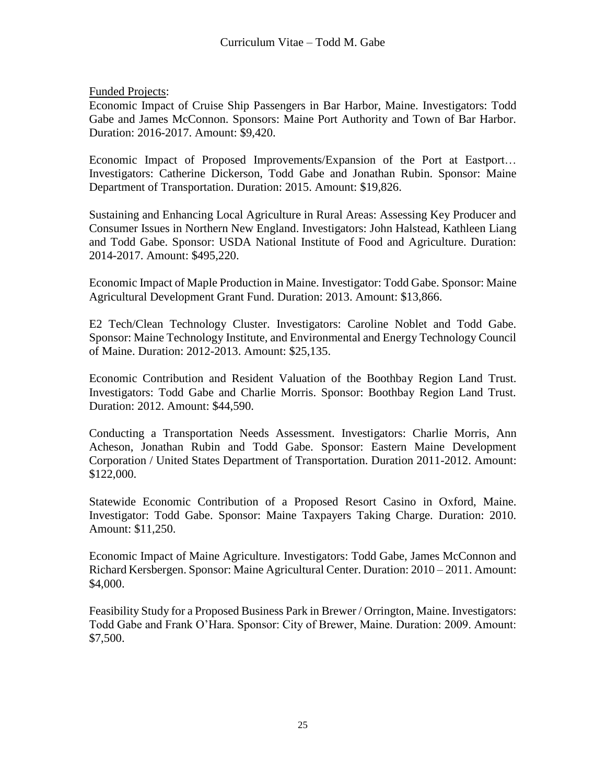Funded Projects:

Economic Impact of Cruise Ship Passengers in Bar Harbor, Maine. Investigators: Todd Gabe and James McConnon. Sponsors: Maine Port Authority and Town of Bar Harbor. Duration: 2016-2017. Amount: \$9,420.

Economic Impact of Proposed Improvements/Expansion of the Port at Eastport… Investigators: Catherine Dickerson, Todd Gabe and Jonathan Rubin. Sponsor: Maine Department of Transportation. Duration: 2015. Amount: \$19,826.

Sustaining and Enhancing Local Agriculture in Rural Areas: Assessing Key Producer and Consumer Issues in Northern New England. Investigators: John Halstead, Kathleen Liang and Todd Gabe. Sponsor: USDA National Institute of Food and Agriculture. Duration: 2014-2017. Amount: \$495,220.

Economic Impact of Maple Production in Maine. Investigator: Todd Gabe. Sponsor: Maine Agricultural Development Grant Fund. Duration: 2013. Amount: \$13,866.

E2 Tech/Clean Technology Cluster. Investigators: Caroline Noblet and Todd Gabe. Sponsor: Maine Technology Institute, and Environmental and Energy Technology Council of Maine. Duration: 2012-2013. Amount: \$25,135.

Economic Contribution and Resident Valuation of the Boothbay Region Land Trust. Investigators: Todd Gabe and Charlie Morris. Sponsor: Boothbay Region Land Trust. Duration: 2012. Amount: \$44,590.

Conducting a Transportation Needs Assessment. Investigators: Charlie Morris, Ann Acheson, Jonathan Rubin and Todd Gabe. Sponsor: Eastern Maine Development Corporation / United States Department of Transportation. Duration 2011-2012. Amount: \$122,000.

Statewide Economic Contribution of a Proposed Resort Casino in Oxford, Maine. Investigator: Todd Gabe. Sponsor: Maine Taxpayers Taking Charge. Duration: 2010. Amount: \$11,250.

Economic Impact of Maine Agriculture. Investigators: Todd Gabe, James McConnon and Richard Kersbergen. Sponsor: Maine Agricultural Center. Duration: 2010 – 2011. Amount: \$4,000.

Feasibility Study for a Proposed Business Park in Brewer / Orrington, Maine. Investigators: Todd Gabe and Frank O'Hara. Sponsor: City of Brewer, Maine. Duration: 2009. Amount: \$7,500.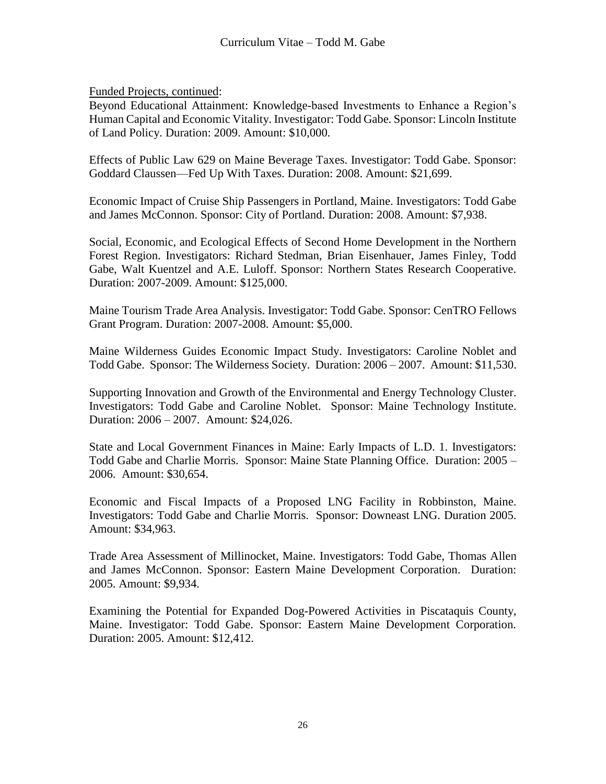Funded Projects, continued:

Beyond Educational Attainment: Knowledge-based Investments to Enhance a Region's Human Capital and Economic Vitality. Investigator: Todd Gabe. Sponsor: Lincoln Institute of Land Policy. Duration: 2009. Amount: \$10,000.

Effects of Public Law 629 on Maine Beverage Taxes. Investigator: Todd Gabe. Sponsor: Goddard Claussen—Fed Up With Taxes. Duration: 2008. Amount: \$21,699.

Economic Impact of Cruise Ship Passengers in Portland, Maine. Investigators: Todd Gabe and James McConnon. Sponsor: City of Portland. Duration: 2008. Amount: \$7,938.

Social, Economic, and Ecological Effects of Second Home Development in the Northern Forest Region. Investigators: Richard Stedman, Brian Eisenhauer, James Finley, Todd Gabe, Walt Kuentzel and A.E. Luloff. Sponsor: Northern States Research Cooperative. Duration: 2007-2009. Amount: \$125,000.

Maine Tourism Trade Area Analysis. Investigator: Todd Gabe. Sponsor: CenTRO Fellows Grant Program. Duration: 2007-2008. Amount: \$5,000.

Maine Wilderness Guides Economic Impact Study. Investigators: Caroline Noblet and Todd Gabe. Sponsor: The Wilderness Society. Duration: 2006 – 2007. Amount: \$11,530.

Supporting Innovation and Growth of the Environmental and Energy Technology Cluster. Investigators: Todd Gabe and Caroline Noblet. Sponsor: Maine Technology Institute. Duration: 2006 – 2007. Amount: \$24,026.

State and Local Government Finances in Maine: Early Impacts of L.D. 1. Investigators: Todd Gabe and Charlie Morris. Sponsor: Maine State Planning Office. Duration: 2005 – 2006. Amount: \$30,654.

Economic and Fiscal Impacts of a Proposed LNG Facility in Robbinston, Maine. Investigators: Todd Gabe and Charlie Morris. Sponsor: Downeast LNG. Duration 2005. Amount: \$34,963.

Trade Area Assessment of Millinocket, Maine. Investigators: Todd Gabe, Thomas Allen and James McConnon. Sponsor: Eastern Maine Development Corporation. Duration: 2005. Amount: \$9,934.

Examining the Potential for Expanded Dog-Powered Activities in Piscataquis County, Maine. Investigator: Todd Gabe. Sponsor: Eastern Maine Development Corporation. Duration: 2005. Amount: \$12,412.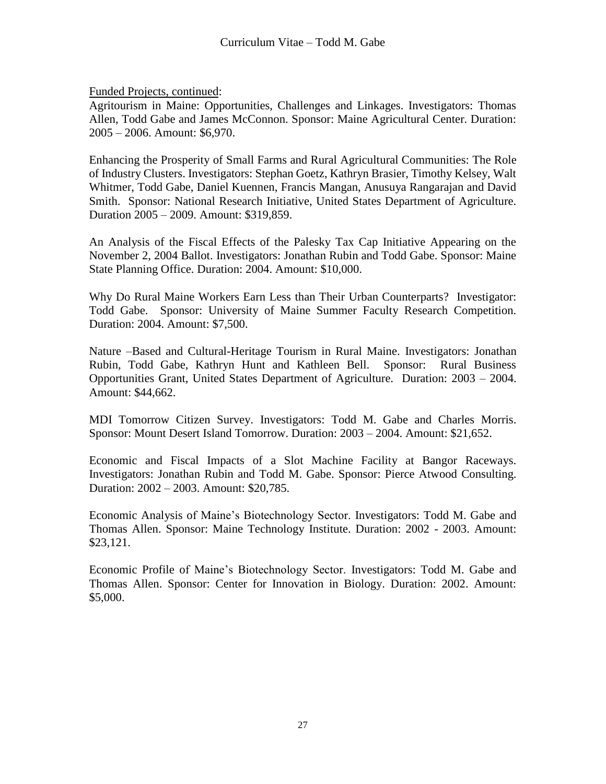Funded Projects, continued:

Agritourism in Maine: Opportunities, Challenges and Linkages. Investigators: Thomas Allen, Todd Gabe and James McConnon. Sponsor: Maine Agricultural Center. Duration: 2005 – 2006. Amount: \$6,970.

Enhancing the Prosperity of Small Farms and Rural Agricultural Communities: The Role of Industry Clusters. Investigators: Stephan Goetz, Kathryn Brasier, Timothy Kelsey, Walt Whitmer, Todd Gabe, Daniel Kuennen, Francis Mangan, Anusuya Rangarajan and David Smith. Sponsor: National Research Initiative, United States Department of Agriculture. Duration 2005 – 2009. Amount: \$319,859.

An Analysis of the Fiscal Effects of the Palesky Tax Cap Initiative Appearing on the November 2, 2004 Ballot. Investigators: Jonathan Rubin and Todd Gabe. Sponsor: Maine State Planning Office. Duration: 2004. Amount: \$10,000.

Why Do Rural Maine Workers Earn Less than Their Urban Counterparts? Investigator: Todd Gabe. Sponsor: University of Maine Summer Faculty Research Competition. Duration: 2004. Amount: \$7,500.

Nature –Based and Cultural-Heritage Tourism in Rural Maine. Investigators: Jonathan Rubin, Todd Gabe, Kathryn Hunt and Kathleen Bell. Sponsor: Rural Business Opportunities Grant, United States Department of Agriculture. Duration: 2003 – 2004. Amount: \$44,662.

MDI Tomorrow Citizen Survey. Investigators: Todd M. Gabe and Charles Morris. Sponsor: Mount Desert Island Tomorrow. Duration: 2003 – 2004. Amount: \$21,652.

Economic and Fiscal Impacts of a Slot Machine Facility at Bangor Raceways. Investigators: Jonathan Rubin and Todd M. Gabe. Sponsor: Pierce Atwood Consulting. Duration: 2002 – 2003. Amount: \$20,785.

Economic Analysis of Maine's Biotechnology Sector. Investigators: Todd M. Gabe and Thomas Allen. Sponsor: Maine Technology Institute. Duration: 2002 - 2003. Amount: \$23,121.

Economic Profile of Maine's Biotechnology Sector. Investigators: Todd M. Gabe and Thomas Allen. Sponsor: Center for Innovation in Biology. Duration: 2002. Amount: \$5,000.